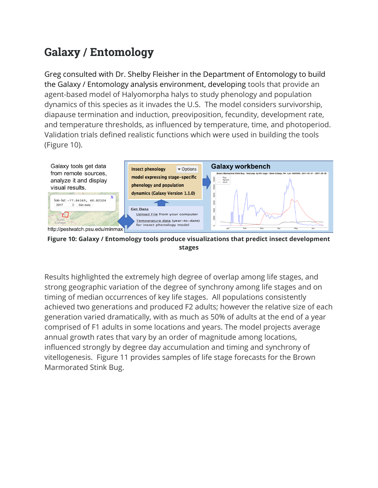## **Galaxy / Entomology**

Greg consulted with Dr. Shelby Fleisher in the Department of Entomology to build the Galaxy / Entomology analysis environment, developing tools that provide an agent-based model of Halyomorpha halys to study phenology and population dynamics of this species as it invades the U.S. The model considers survivorship, diapause termination and induction, preoviposition, fecundity, development rate, and temperature thresholds, as influenced by temperature, time, and photoperiod. Validation trials defined realistic functions which were used in building the tools (Figure 10).



**Figure 10: Galaxy / Entomology tools produce visualizations that predict insect development stages**

Results highlighted the extremely high degree of overlap among life stages, and strong geographic variation of the degree of synchrony among life stages and on timing of median occurrences of key life stages. All populations consistently achieved two generations and produced F2 adults; however the relative size of each generation varied dramatically, with as much as 50% of adults at the end of a year comprised of F1 adults in some locations and years. The model projects average annual growth rates that vary by an order of magnitude among locations, influenced strongly by degree day accumulation and timing and synchrony of vitellogenesis. Figure 11 provides samples of life stage forecasts for the Brown Marmorated Stink Bug.